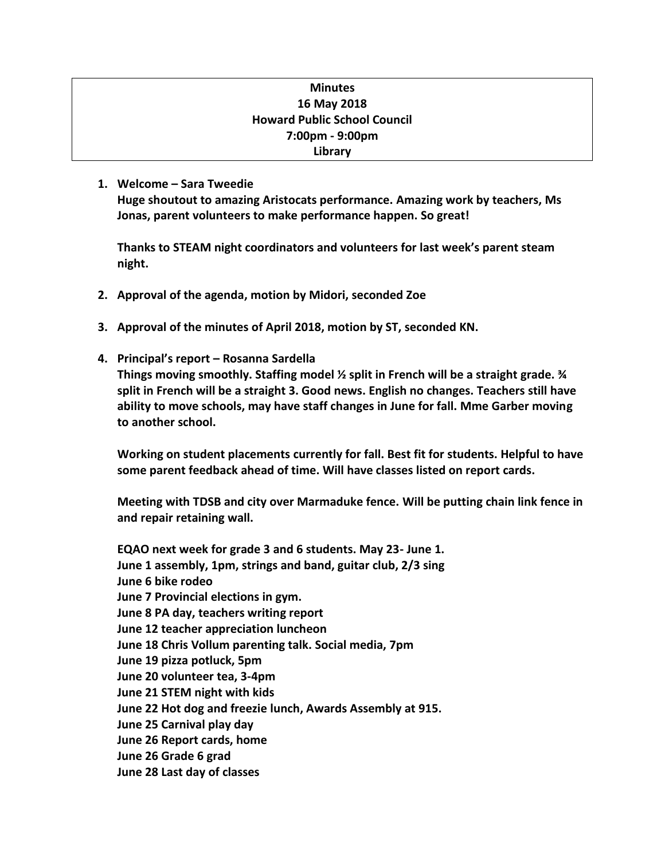# **Minutes 16 May 2018 Howard Public School Council 7:00pm - 9:00pm Library**

## **1. Welcome – Sara Tweedie**

**Huge shoutout to amazing Aristocats performance. Amazing work by teachers, Ms Jonas, parent volunteers to make performance happen. So great!** 

**Thanks to STEAM night coordinators and volunteers for last week's parent steam night.**

- **2. Approval of the agenda, motion by Midori, seconded Zoe**
- **3. Approval of the minutes of April 2018, motion by ST, seconded KN.**
- **4. Principal's report – Rosanna Sardella**

**Things moving smoothly. Staffing model ½ split in French will be a straight grade. ¾ split in French will be a straight 3. Good news. English no changes. Teachers still have ability to move schools, may have staff changes in June for fall. Mme Garber moving to another school.** 

**Working on student placements currently for fall. Best fit for students. Helpful to have some parent feedback ahead of time. Will have classes listed on report cards.**

**Meeting with TDSB and city over Marmaduke fence. Will be putting chain link fence in and repair retaining wall.** 

**EQAO next week for grade 3 and 6 students. May 23- June 1. June 1 assembly, 1pm, strings and band, guitar club, 2/3 sing June 6 bike rodeo June 7 Provincial elections in gym. June 8 PA day, teachers writing report June 12 teacher appreciation luncheon June 18 Chris Vollum parenting talk. Social media, 7pm June 19 pizza potluck, 5pm June 20 volunteer tea, 3-4pm June 21 STEM night with kids June 22 Hot dog and freezie lunch, Awards Assembly at 915. June 25 Carnival play day June 26 Report cards, home June 26 Grade 6 grad June 28 Last day of classes**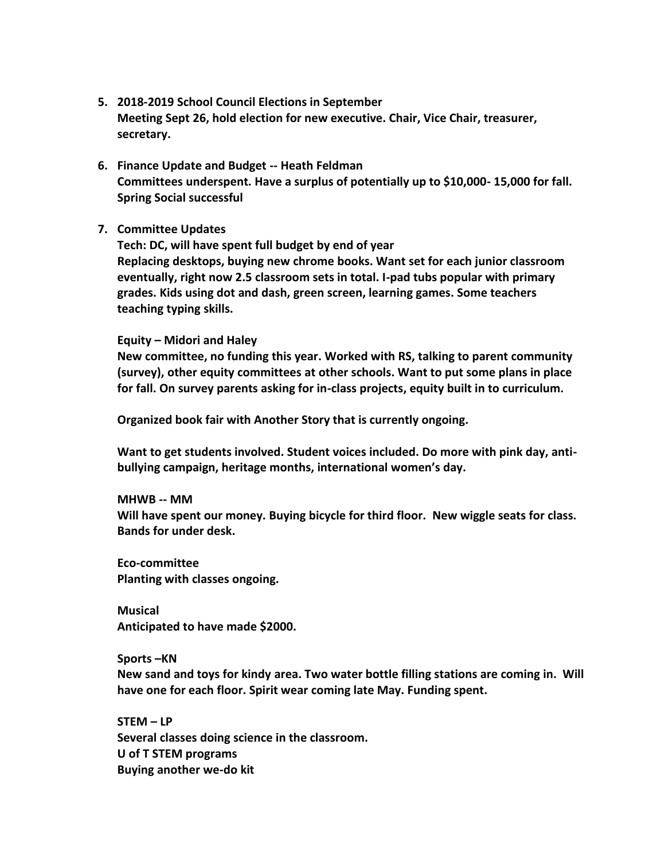- **5. 2018-2019 School Council Elections in September Meeting Sept 26, hold election for new executive. Chair, Vice Chair, treasurer, secretary.**
- **6. Finance Update and Budget -- Heath Feldman Committees underspent. Have a surplus of potentially up to \$10,000- 15,000 for fall. Spring Social successful**
- **7. Committee Updates**

**Tech: DC, will have spent full budget by end of year Replacing desktops, buying new chrome books. Want set for each junior classroom eventually, right now 2.5 classroom sets in total. I-pad tubs popular with primary grades. Kids using dot and dash, green screen, learning games. Some teachers teaching typing skills.** 

#### **Equity – Midori and Haley**

**New committee, no funding this year. Worked with RS, talking to parent community (survey), other equity committees at other schools. Want to put some plans in place for fall. On survey parents asking for in-class projects, equity built in to curriculum.** 

**Organized book fair with Another Story that is currently ongoing.** 

**Want to get students involved. Student voices included. Do more with pink day, antibullying campaign, heritage months, international women's day.**

**MHWB -- MM Will have spent our money. Buying bicycle for third floor. New wiggle seats for class. Bands for under desk.**

**Eco-committee Planting with classes ongoing.**

**Musical Anticipated to have made \$2000.**

**Sports –KN New sand and toys for kindy area. Two water bottle filling stations are coming in. Will have one for each floor. Spirit wear coming late May. Funding spent.**

**STEM – LP Several classes doing science in the classroom. U of T STEM programs Buying another we-do kit**